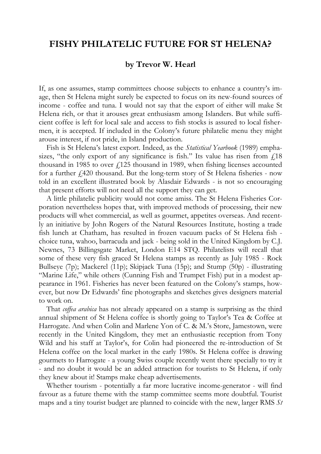## **FISHY PHILATELIC FUTURE FOR ST HELENA?**

## **by Trevor W. Hearl**

If, as one assumes, stamp committees choose subjects to enhance a country's image, then St Helena might surely be expected to focus on its new-found sources of income - coffee and tuna. I would not say that the export of either will make St Helena rich, or that it arouses great enthusiasm among Islanders. But while sufficient coffee is left for local sale and access to fish stocks is assured to local fishermen, it is accepted. If included in the Colony's future philatelic menu they might arouse interest, if not pride, in Island production.

Fish is St Helena's latest export. Indeed, as the *Statistical Yearbook* (1989) emphasizes, "the only export of any significance is fish." Its value has risen from  $\dot{f}$  18 thousand in 1985 to over  $f(125)$  thousand in 1989, when fishing licenses accounted for a further  $\dot{\ell}$ ,420 thousand. But the long-term story of St Helena fisheries - now told in an excellent illustrated book by Alasdair Edwards - is not so encouraging that present efforts will not need all the support they can get.

A little philatelic publicity would not come amiss. The St Helena Fisheries Corporation nevertheless hopes that, with improved methods of processing, their new products will whet commercial, as well as gourmet, appetites overseas. And recently an initiative by John Rogers of the Natural Resources Institute, hosting a trade fish lunch at Chatham, has resulted in frozen vacuum packs of St Helena fish choice tuna, wahoo, barracuda and jack - being sold in the United Kingdom by C.J. Newnes, 73 Billingsgate Market, London E14 STQ. Philatelists will recall that some of these very fish graced St Helena stamps as recently as July 1985 - Rock Bullseye (7p); Mackerel (11p); Skipjack Tuna (15p); and Stump (50p) - illustrating "Marine Life," while others (Cunning Fish and Trumpet Fish) put in a modest appearance in 1961. Fisheries has never been featured on the Colony's stamps, however, but now Dr Edwards' fine photographs and sketches gives designers material to work on.

That *coffea arabica* has not already appeared on a stamp is surprising as the third annual shipment of St Helena coffee is shortly going to Taylor's Tea & Coffee at Harrogate. And when Colin and Marlene Yon of C. & M.'s Store, Jamestown, were recently in the United Kingdom, they met an enthusiastic reception from Tony Wild and his staff at Taylor's, for Colin had pioneered the re-introduction of St Helena coffee on the local market in the early 1980s. St Helena coffee is drawing gourmets to Harrogate - a young Swiss couple recently went there specially to try it - and no doubt it would be an added attraction for tourists to St Helena, if only they knew about it! Stamps make cheap advertisements.

Whether tourism - potentially a far more lucrative income-generator - will find favour as a future theme with the stamp committee seems more doubtful. Tourist maps and a tiny tourist budget are planned to coincide with the new, larger RMS *St*